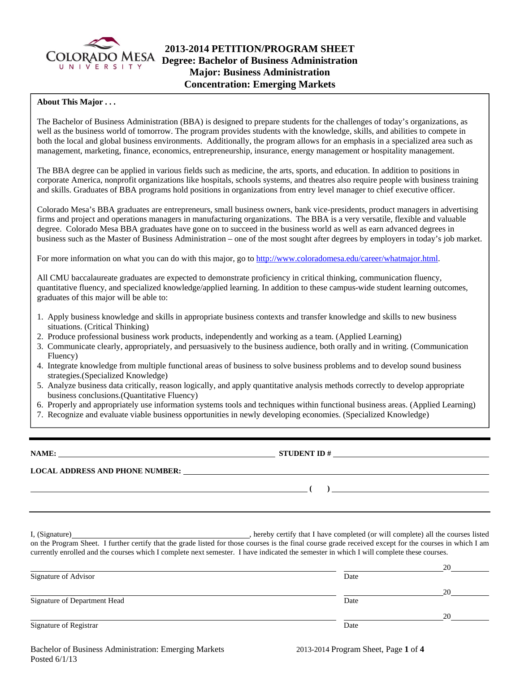

# **2013-2014 PETITION/PROGRAM SHEET**  COLORADO MESA **Degree: Bachelor of Business Administration Major: Business Administration Concentration: Emerging Markets**

### **About This Major . . .**

The Bachelor of Business Administration (BBA) is designed to prepare students for the challenges of today's organizations, as well as the business world of tomorrow. The program provides students with the knowledge, skills, and abilities to compete in both the local and global business environments. Additionally, the program allows for an emphasis in a specialized area such as management, marketing, finance, economics, entrepreneurship, insurance, energy management or hospitality management.

The BBA degree can be applied in various fields such as medicine, the arts, sports, and education. In addition to positions in corporate America, nonprofit organizations like hospitals, schools systems, and theatres also require people with business training and skills. Graduates of BBA programs hold positions in organizations from entry level manager to chief executive officer.

Colorado Mesa's BBA graduates are entrepreneurs, small business owners, bank vice-presidents, product managers in advertising firms and project and operations managers in manufacturing organizations. The BBA is a very versatile, flexible and valuable degree. Colorado Mesa BBA graduates have gone on to succeed in the business world as well as earn advanced degrees in business such as the Master of Business Administration – one of the most sought after degrees by employers in today's job market.

For more information on what you can do with this major, go to http://www.coloradomesa.edu/career/whatmajor.html.

All CMU baccalaureate graduates are expected to demonstrate proficiency in critical thinking, communication fluency, quantitative fluency, and specialized knowledge/applied learning. In addition to these campus-wide student learning outcomes, graduates of this major will be able to:

- 1. Apply business knowledge and skills in appropriate business contexts and transfer knowledge and skills to new business situations. (Critical Thinking)
- 2. Produce professional business work products, independently and working as a team. (Applied Learning)
- 3. Communicate clearly, appropriately, and persuasively to the business audience, both orally and in writing. (Communication Fluency)
- 4. Integrate knowledge from multiple functional areas of business to solve business problems and to develop sound business strategies.(Specialized Knowledge)
- 5. Analyze business data critically, reason logically, and apply quantitative analysis methods correctly to develop appropriate business conclusions.(Quantitative Fluency)
- 6. Properly and appropriately use information systems tools and techniques within functional business areas. (Applied Learning)
- 7. Recognize and evaluate viable business opportunities in newly developing economies. (Specialized Knowledge)

**NAME: STUDENT ID # LOCAL ADDRESS AND PHONE NUMBER: ( )** 

I, (Signature) **Solution** , hereby certify that I have completed (or will complete) all the courses listed on the Program Sheet. I further certify that the grade listed for those courses is the final course grade received except for the courses in which I am currently enrolled and the courses which I complete next semester. I have indicated the semester in which I will complete these courses.

|                              |      | 20 |
|------------------------------|------|----|
| Signature of Advisor         | Date |    |
|                              |      | 20 |
| Signature of Department Head | Date |    |
|                              |      | 20 |
| Signature of Registrar       | Date |    |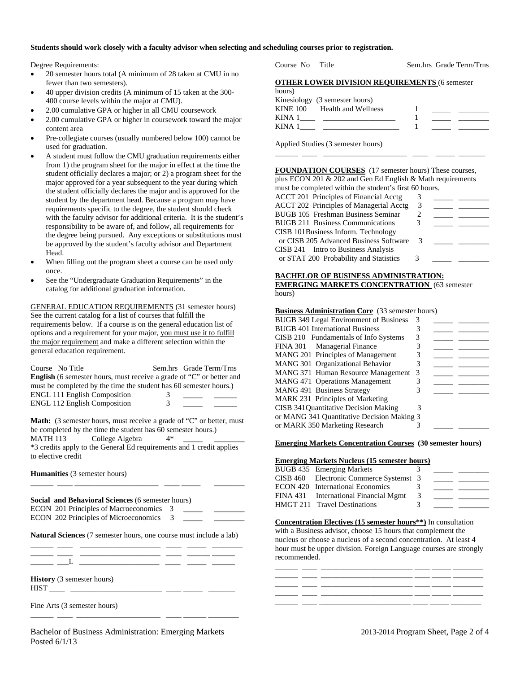#### **Students should work closely with a faculty advisor when selecting and scheduling courses prior to registration.**

Degree Requirements:

- 20 semester hours total (A minimum of 28 taken at CMU in no fewer than two semesters).
- 40 upper division credits (A minimum of 15 taken at the 300- 400 course levels within the major at CMU).
- 2.00 cumulative GPA or higher in all CMU coursework
- 2.00 cumulative GPA or higher in coursework toward the major content area
- Pre-collegiate courses (usually numbered below 100) cannot be used for graduation.
- A student must follow the CMU graduation requirements either from 1) the program sheet for the major in effect at the time the student officially declares a major; or 2) a program sheet for the major approved for a year subsequent to the year during which the student officially declares the major and is approved for the student by the department head. Because a program may have requirements specific to the degree, the student should check with the faculty advisor for additional criteria. It is the student's responsibility to be aware of, and follow, all requirements for the degree being pursued. Any exceptions or substitutions must be approved by the student's faculty advisor and Department Head.
- When filling out the program sheet a course can be used only once.
- See the "Undergraduate Graduation Requirements" in the catalog for additional graduation information.

GENERAL EDUCATION REQUIREMENTS (31 semester hours) See the current catalog for a list of courses that fulfill the requirements below. If a course is on the general education list of options and a requirement for your major, you must use it to fulfill the major requirement and make a different selection within the general education requirement.

| Course No Title                                                             |   | Sem.hrs Grade Term/Trns |  |
|-----------------------------------------------------------------------------|---|-------------------------|--|
| <b>English</b> (6 semester hours, must receive a grade of "C" or better and |   |                         |  |
| must be completed by the time the student has 60 semester hours.)           |   |                         |  |
| <b>ENGL 111 English Composition</b>                                         | 3 |                         |  |
| <b>ENGL 112 English Composition</b>                                         | 3 |                         |  |

**Math:** (3 semester hours, must receive a grade of "C" or better, must be completed by the time the student has 60 semester hours.) MATH 113 College Algebra 4\* \*3 credits apply to the General Ed requirements and 1 credit applies to elective credit

\_\_\_\_\_\_ \_\_\_\_ \_\_\_\_\_\_\_\_\_\_\_\_\_\_\_\_\_\_\_\_\_\_ \_\_\_\_ \_\_\_\_\_ \_\_\_\_\_\_\_\_

**Humanities** (3 semester hours)

**Social and Behavioral Sciences** (6 semester hours) ECON 201 Principles of Macroeconomics 3 ECON 202 Principles of Microeconomics 3

**Natural Sciences** (7 semester hours, one course must include a lab) \_\_\_\_\_\_ \_\_\_\_ \_\_\_\_\_\_\_\_\_\_\_\_\_\_\_\_\_\_\_\_\_ \_\_\_\_ \_\_\_\_\_ \_\_\_\_\_\_\_\_

\_\_\_\_\_\_ \_\_\_\_ \_\_\_\_\_\_\_\_\_\_\_\_\_\_\_\_\_\_\_\_\_ \_\_\_\_ \_\_\_\_\_\_ \_\_\_\_\_\_

 $-\overline{\phantom{a}}$   $\overline{\phantom{a}}$   $\overline{\phantom{a}}$   $\overline{\phantom{a}}$ 

**History** (3 semester hours) HIST \_\_\_\_ \_\_\_\_\_\_\_\_\_\_\_\_\_\_\_\_\_\_\_\_\_\_\_\_ \_\_\_\_ \_\_\_\_\_ \_\_\_\_\_\_\_

Fine Arts (3 semester hours)

\_\_\_\_\_\_ \_\_\_\_ \_\_\_\_\_\_\_\_\_\_\_\_\_\_\_\_\_\_\_\_\_\_ \_\_\_\_ \_\_\_\_\_\_ \_\_\_\_\_\_\_\_

Course No Title Sem.hrs Grade Term/Trns

|  | <b>OTHER LOWER DIVISION REQUIREMENTS (6 semester</b> |  |  |
|--|------------------------------------------------------|--|--|
|  |                                                      |  |  |

| hours) |                                |  |  |
|--------|--------------------------------|--|--|
|        | Kinesiology (3 semester hours) |  |  |
|        | KINE 100 Health and Wellness   |  |  |
| KINA 1 |                                |  |  |
| KINA 1 |                                |  |  |

Applied Studies (3 semester hours)

### **FOUNDATION COURSES** (17 semester hours) These courses, plus ECON 201 & 202 and Gen Ed English & Math requirements

\_\_\_\_\_\_ \_\_\_\_ \_\_\_\_\_\_\_\_\_\_\_\_\_\_\_\_\_\_\_\_\_\_ \_\_\_\_ \_\_\_\_\_ \_\_\_\_\_\_\_

| must be completed within the student's first 60 hours. |    |  |
|--------------------------------------------------------|----|--|
| ACCT 201 Principles of Financial Acctg                 |    |  |
| <b>ACCT 202 Principles of Managerial Acctg</b>         | 3  |  |
| <b>BUGB 105 Freshman Business Seminar</b>              | 2  |  |
| <b>BUGB 211 Business Communications</b>                | 3  |  |
| CISB 101Business Inform. Technology                    |    |  |
| or CISB 205 Advanced Business Software                 | -3 |  |
| CISB 241 Intro to Business Analysis                    |    |  |
| or STAT 200 Probability and Statistics                 | 3  |  |
|                                                        |    |  |

**BACHELOR OF BUSINESS ADMINISTRATION: EMERGING MARKETS CONCENTRATION** (63 semester hours)

#### **Business Administration Core** (33 semester hours)

| BUGB 349 Legal Environment of Business     | 3 |  |
|--------------------------------------------|---|--|
| <b>BUGB</b> 401 International Business     | 3 |  |
| CISB 210 Fundamentals of Info Systems      | 3 |  |
| FINA 301 Managerial Finance                |   |  |
| MANG 201 Principles of Management          | 3 |  |
| MANG 301 Organizational Behavior           |   |  |
| MANG 371 Human Resource Management         | 3 |  |
| <b>MANG 471 Operations Management</b>      |   |  |
| MANG 491 Business Strategy                 | 3 |  |
| MARK 231 Principles of Marketing           |   |  |
| CISB 341 Quantitative Decision Making      | 3 |  |
| or MANG 341 Quantitative Decision Making 3 |   |  |
| or MARK 350 Marketing Research             |   |  |
|                                            |   |  |

#### **Emerging Markets Concentration Courses (30 semester hours)**

#### **Emerging Markets Nucleus (15 semester hours)**

| BUGB 435 Emerging Markets               |         |  |
|-----------------------------------------|---------|--|
| CISB 460 Electronic Commerce Systemst 3 |         |  |
| <b>ECON 420</b> International Economics | $\prec$ |  |
| FINA 431 International Financial Mgmt   | 3       |  |
| HMGT 211 Travel Destinations            | $\prec$ |  |
|                                         |         |  |

#### **Concentration Electives (15 semester hours\*\*)** In consultation with a Business advisor, choose 15 hours that complement the nucleus or choose a nucleus of a second concentration. At least 4 hour must be upper division. Foreign Language courses are strongly recommended.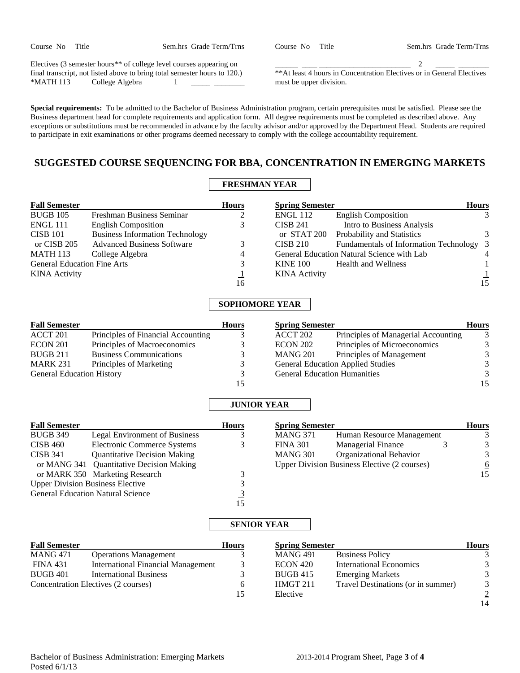| Course No | Title |
|-----------|-------|
|-----------|-------|

Sem.hrs Grade Term/Trns

Electives (3 semester hours\*\* of college level courses appearing on final transcript, not listed above to bring total semester hours to 120.) \*MATH 113 College Algebra 1

\_\_\_\_\_\_ \_\_\_\_ \_\_\_\_\_\_\_\_\_\_\_\_\_\_\_\_\_\_\_\_\_\_\_\_ 2 \_\_\_\_\_ \_\_\_\_\_\_\_\_ \*\*At least 4 hours in Concentration Electives or in General Electives must be upper division.

**Special requirements:** To be admitted to the Bachelor of Business Administration program, certain prerequisites must be satisfied. Please see the Business department head for complete requirements and application form. All degree requirements must be completed as described above. Any exceptions or substitutions must be recommended in advance by the faculty advisor and/or approved by the Department Head. Students are required to participate in exit examinations or other programs deemed necessary to comply with the college accountability requirement.

# **SUGGESTED COURSE SEQUENCING FOR BBA, CONCENTRATION IN EMERGING MARKETS**

# **FRESHMAN YEAR**

| <b>Fall Semester</b>               |                                        | <b>Hours</b> | <b>Spring Semester</b> |                                            | <b>Hours</b>   |
|------------------------------------|----------------------------------------|--------------|------------------------|--------------------------------------------|----------------|
| <b>BUGB 105</b>                    | Freshman Business Seminar              |              | <b>ENGL 112</b>        | <b>English Composition</b>                 | 3              |
| ENGL 111                           | <b>English Composition</b>             |              | <b>CISB 241</b>        | Intro to Business Analysis                 |                |
| <b>CISB 101</b>                    | <b>Business Information Technology</b> |              |                        | or STAT 200 Probability and Statistics     | 3              |
| or CISB 205                        | <b>Advanced Business Software</b>      |              | <b>CISB 210</b>        | Fundamentals of Information Technology 3   |                |
| <b>MATH 113</b>                    | College Algebra                        | 4            |                        | General Education Natural Science with Lab | $\overline{4}$ |
| <b>General Education Fine Arts</b> |                                        | 3            | <b>KINE 100</b>        | Health and Wellness                        |                |
| <b>KINA</b> Activity               |                                        |              | <b>KINA</b> Activity   |                                            |                |
|                                    |                                        | 16           |                        |                                            | 15             |

### **SOPHOMORE YEAR**

| <b>Fall Semester</b>             |                                    | <b>Hours</b> | <b>Spring Semester</b> |                                          | <b>Hours</b> |
|----------------------------------|------------------------------------|--------------|------------------------|------------------------------------------|--------------|
| ACCT 201                         | Principles of Financial Accounting |              | ACCT 202               | Principles of Managerial Accounting      |              |
| <b>ECON 201</b>                  | Principles of Macroeconomics       |              | <b>ECON 202</b>        | Principles of Microeconomics             |              |
| <b>BUGB 211</b>                  | <b>Business Communications</b>     |              | <b>MANG 201</b>        | Principles of Management                 |              |
| <b>MARK 231</b>                  | Principles of Marketing            |              |                        | <b>General Education Applied Studies</b> |              |
| <b>General Education History</b> |                                    |              |                        | <b>General Education Humanities</b>      |              |
|                                  |                                    |              |                        |                                          | 15           |

# **JUNIOR YEAR**

| <b>Fall Semester</b> |                                          | <b>Hours</b> | <b>Spring Semester</b> |                                              |
|----------------------|------------------------------------------|--------------|------------------------|----------------------------------------------|
| <b>BUGB 349</b>      | Legal Environment of Business            |              | <b>MANG 371</b>        | Human Resource Management                    |
| $CISB$ 460           | Electronic Commerce Systems              | 3            | <b>FINA 301</b>        | <b>Managerial Finance</b>                    |
| <b>CISB 341</b>      | <b>Quantitative Decision Making</b>      |              | <b>MANG 301</b>        | Organizational Behavior                      |
|                      | or MANG 341 Quantitative Decision Making |              |                        | Upper Division Business Elective (2 courses) |
|                      | or MARK 350 Marketing Research           |              |                        |                                              |
|                      | <b>Upper Division Business Elective</b>  |              |                        |                                              |
|                      | <b>General Education Natural Science</b> |              |                        |                                              |
|                      |                                          | .5           |                        |                                              |

| <b>Spring Semester</b> |                                                     | <b>Hours</b> |
|------------------------|-----------------------------------------------------|--------------|
| <b>MANG 371</b>        | Human Resource Management                           |              |
| <b>FINA 301</b>        | <b>Managerial Finance</b>                           |              |
| <b>MANG 301</b>        | Organizational Behavior                             |              |
|                        | <b>Upper Division Business Elective (2 courses)</b> |              |
|                        |                                                     | 15           |

### **SENIOR YEAR**

| <b>Fall Semester</b>                |                                    | <b>Hours</b>            | <b>Spring Semester</b> |                                    | <b>Hours</b>   |
|-------------------------------------|------------------------------------|-------------------------|------------------------|------------------------------------|----------------|
| <b>MANG 471</b>                     | <b>Operations Management</b>       |                         | <b>MANG 491</b>        | <b>Business Policy</b>             |                |
| <b>FINA 431</b>                     | International Financial Management |                         | <b>ECON 420</b>        | <b>International Economics</b>     | $\mathbf{R}$   |
| <b>BUGB 401</b>                     | <b>International Business</b>      |                         | <b>BUGB 415</b>        | <b>Emerging Markets</b>            |                |
| Concentration Electives (2 courses) |                                    | $\overline{\mathbf{o}}$ | HMGT 211               | Travel Destinations (or in summer) | 3              |
|                                     |                                    | 15                      | Elective               |                                    | $\overline{2}$ |

14